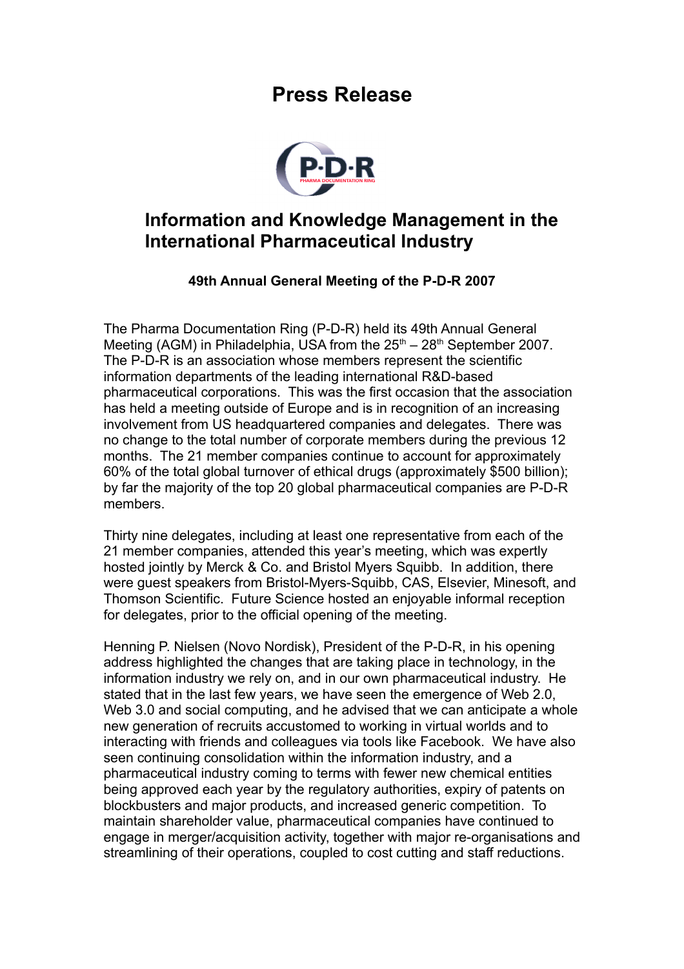## **Press Release**



## **Information and Knowledge Management in the International Pharmaceutical Industry**

## **49th Annual General Meeting of the P-D-R 2007**

The Pharma Documentation Ring (P-D-R) held its 49th Annual General Meeting (AGM) in Philadelphia, USA from the  $25<sup>th</sup> - 28<sup>th</sup>$  September 2007. The P-D-R is an association whose members represent the scientific information departments of the leading international R&D-based pharmaceutical corporations. This was the first occasion that the association has held a meeting outside of Europe and is in recognition of an increasing involvement from US headquartered companies and delegates. There was no change to the total number of corporate members during the previous 12 months. The 21 member companies continue to account for approximately 60% of the total global turnover of ethical drugs (approximately \$500 billion); by far the majority of the top 20 global pharmaceutical companies are P-D-R members.

Thirty nine delegates, including at least one representative from each of the 21 member companies, attended this year's meeting, which was expertly hosted jointly by Merck & Co. and Bristol Myers Squibb. In addition, there were guest speakers from Bristol-Myers-Squibb, CAS, Elsevier, Minesoft, and Thomson Scientific. Future Science hosted an enjoyable informal reception for delegates, prior to the official opening of the meeting.

Henning P. Nielsen (Novo Nordisk), President of the P-D-R, in his opening address highlighted the changes that are taking place in technology, in the information industry we rely on, and in our own pharmaceutical industry. He stated that in the last few years, we have seen the emergence of Web 2.0, Web 3.0 and social computing, and he advised that we can anticipate a whole new generation of recruits accustomed to working in virtual worlds and to interacting with friends and colleagues via tools like Facebook. We have also seen continuing consolidation within the information industry, and a pharmaceutical industry coming to terms with fewer new chemical entities being approved each year by the regulatory authorities, expiry of patents on blockbusters and major products, and increased generic competition. To maintain shareholder value, pharmaceutical companies have continued to engage in merger/acquisition activity, together with major re-organisations and streamlining of their operations, coupled to cost cutting and staff reductions.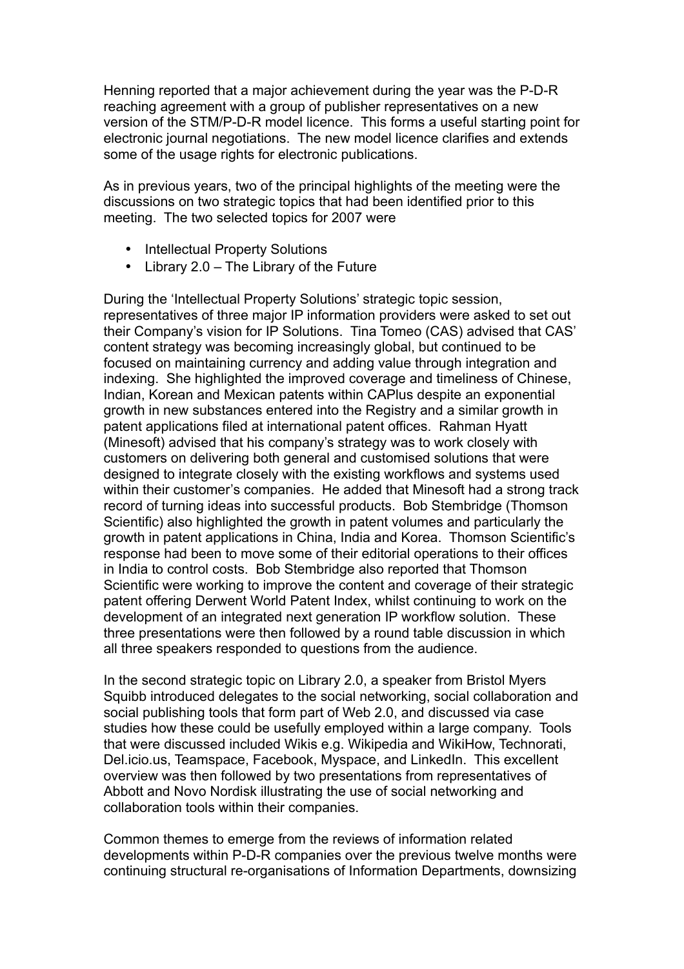Henning reported that a major achievement during the year was the P-D-R reaching agreement with a group of publisher representatives on a new version of the STM/P-D-R model licence. This forms a useful starting point for electronic journal negotiations. The new model licence clarifies and extends some of the usage rights for electronic publications.

As in previous years, two of the principal highlights of the meeting were the discussions on two strategic topics that had been identified prior to this meeting. The two selected topics for 2007 were

- Intellectual Property Solutions
- Library 2.0 The Library of the Future

During the 'Intellectual Property Solutions' strategic topic session, representatives of three major IP information providers were asked to set out their Company's vision for IP Solutions. Tina Tomeo (CAS) advised that CAS' content strategy was becoming increasingly global, but continued to be focused on maintaining currency and adding value through integration and indexing. She highlighted the improved coverage and timeliness of Chinese, Indian, Korean and Mexican patents within CAPlus despite an exponential growth in new substances entered into the Registry and a similar growth in patent applications filed at international patent offices. Rahman Hyatt (Minesoft) advised that his company's strategy was to work closely with customers on delivering both general and customised solutions that were designed to integrate closely with the existing workflows and systems used within their customer's companies. He added that Minesoft had a strong track record of turning ideas into successful products. Bob Stembridge (Thomson Scientific) also highlighted the growth in patent volumes and particularly the growth in patent applications in China, India and Korea. Thomson Scientific's response had been to move some of their editorial operations to their offices in India to control costs. Bob Stembridge also reported that Thomson Scientific were working to improve the content and coverage of their strategic patent offering Derwent World Patent Index, whilst continuing to work on the development of an integrated next generation IP workflow solution. These three presentations were then followed by a round table discussion in which all three speakers responded to questions from the audience.

In the second strategic topic on Library 2.0, a speaker from Bristol Myers Squibb introduced delegates to the social networking, social collaboration and social publishing tools that form part of Web 2.0, and discussed via case studies how these could be usefully employed within a large company. Tools that were discussed included Wikis e.g. Wikipedia and WikiHow, Technorati, Del.icio.us, Teamspace, Facebook, Myspace, and LinkedIn. This excellent overview was then followed by two presentations from representatives of Abbott and Novo Nordisk illustrating the use of social networking and collaboration tools within their companies.

Common themes to emerge from the reviews of information related developments within P-D-R companies over the previous twelve months were continuing structural re-organisations of Information Departments, downsizing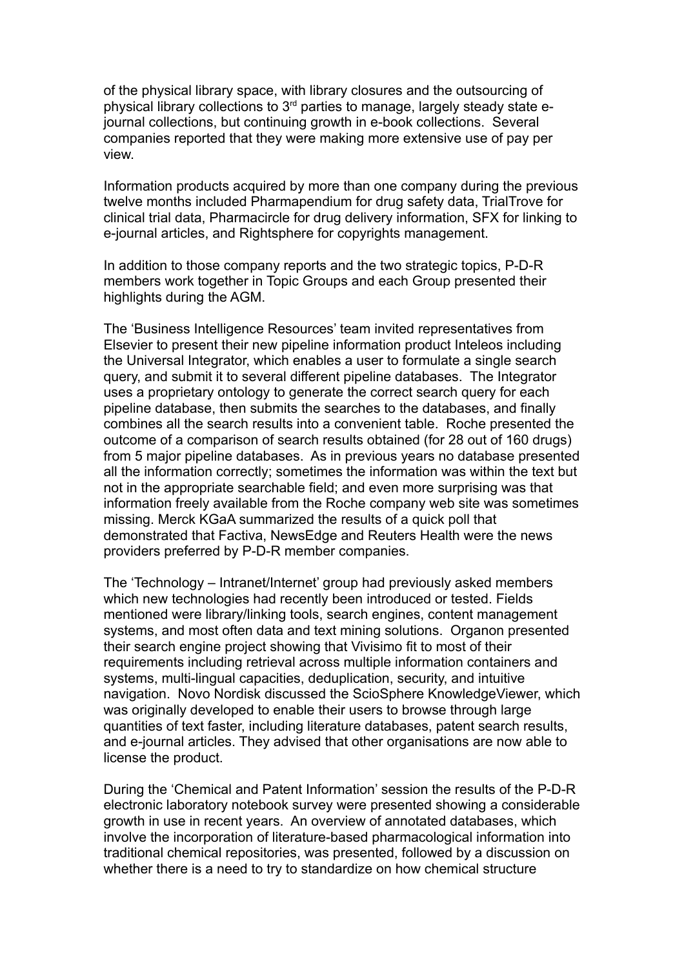of the physical library space, with library closures and the outsourcing of physical library collections to 3rd parties to manage, largely steady state ejournal collections, but continuing growth in e-book collections. Several companies reported that they were making more extensive use of pay per view.

Information products acquired by more than one company during the previous twelve months included Pharmapendium for drug safety data, TrialTrove for clinical trial data, Pharmacircle for drug delivery information, SFX for linking to e-journal articles, and Rightsphere for copyrights management.

In addition to those company reports and the two strategic topics, P-D-R members work together in Topic Groups and each Group presented their highlights during the AGM.

The 'Business Intelligence Resources' team invited representatives from Elsevier to present their new pipeline information product Inteleos including the Universal Integrator, which enables a user to formulate a single search query, and submit it to several different pipeline databases. The Integrator uses a proprietary ontology to generate the correct search query for each pipeline database, then submits the searches to the databases, and finally combines all the search results into a convenient table. Roche presented the outcome of a comparison of search results obtained (for 28 out of 160 drugs) from 5 major pipeline databases. As in previous years no database presented all the information correctly; sometimes the information was within the text but not in the appropriate searchable field; and even more surprising was that information freely available from the Roche company web site was sometimes missing. Merck KGaA summarized the results of a quick poll that demonstrated that Factiva, NewsEdge and Reuters Health were the news providers preferred by P-D-R member companies.

The 'Technology – Intranet/Internet' group had previously asked members which new technologies had recently been introduced or tested. Fields mentioned were library/linking tools, search engines, content management systems, and most often data and text mining solutions. Organon presented their search engine project showing that Vivisimo fit to most of their requirements including retrieval across multiple information containers and systems, multi-lingual capacities, deduplication, security, and intuitive navigation. Novo Nordisk discussed the ScioSphere KnowledgeViewer, which was originally developed to enable their users to browse through large quantities of text faster, including literature databases, patent search results, and e-journal articles. They advised that other organisations are now able to license the product.

During the 'Chemical and Patent Information' session the results of the P-D-R electronic laboratory notebook survey were presented showing a considerable growth in use in recent years. An overview of annotated databases, which involve the incorporation of literature-based pharmacological information into traditional chemical repositories, was presented, followed by a discussion on whether there is a need to try to standardize on how chemical structure